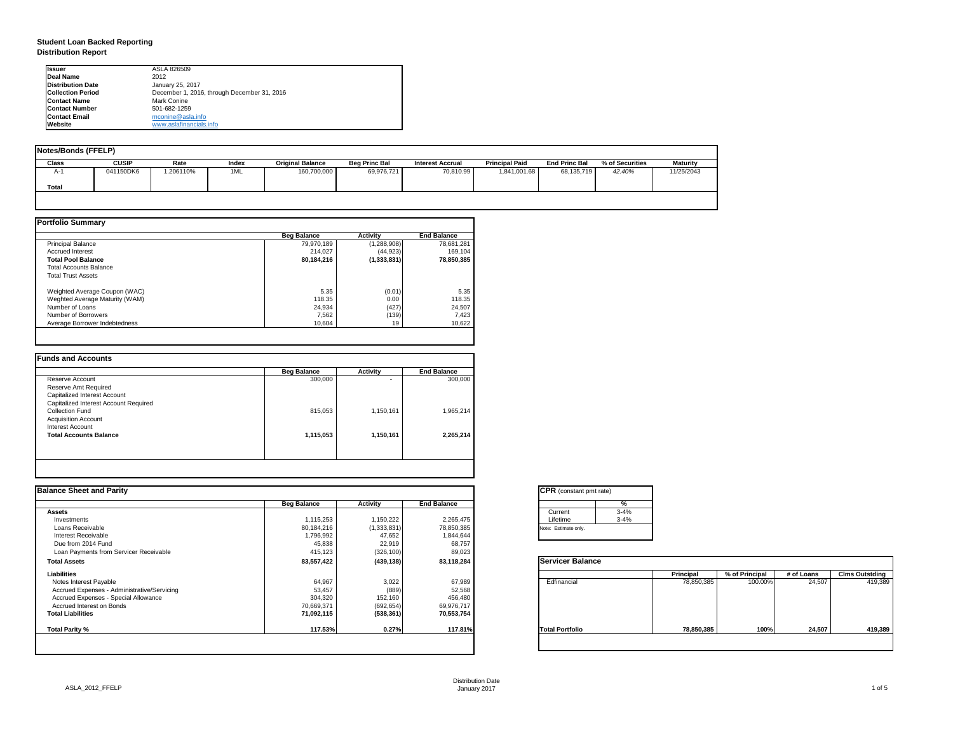| tant pmt rate) |          |
|----------------|----------|
|                | %        |
|                | $3 - 4%$ |
|                | $3 - 4%$ |
| only.          |          |

|      | <b>Principal</b> | % of Principal | # of Loans | <b>Clms Outstding</b> |  |  |
|------|------------------|----------------|------------|-----------------------|--|--|
| al   | 78,850,385       | 100.00%        | 24,507     | 419,389               |  |  |
| olio | 78,850,385       | 100%           | 24,507     | 419,389               |  |  |

# **Student Loan Backed Reporting Distribution Report**

| <b>Notes/Bonds (FFELP)</b> |              |          |       |                         |                      |                         |                       |                      |                 |            |
|----------------------------|--------------|----------|-------|-------------------------|----------------------|-------------------------|-----------------------|----------------------|-----------------|------------|
| <b>Class</b>               | <b>CUSIP</b> | Rate     | Index | <b>Original Balance</b> | <b>Beg Princ Bal</b> | <b>Interest Accrual</b> | <b>Principal Paid</b> | <b>End Princ Bal</b> | % of Securities | Maturity   |
| A-1                        | 041150DK6    | .206110% | 1ML   | 160,700,000             | 69,976,721           | 70,810.99               | 1,841,001.68          | 68,135,719           | 42.40%          | 11/25/2043 |
| <b>Total</b>               |              |          |       |                         |                      |                         |                       |                      |                 |            |
|                            |              |          |       |                         |                      |                         |                       |                      |                 |            |

|                                | <b>Beg Balance</b> | <b>Activity</b> | <b>End Balance</b> |
|--------------------------------|--------------------|-----------------|--------------------|
| <b>Principal Balance</b>       | 79,970,189         | (1,288,908)     | 78,681,281         |
| <b>Accrued Interest</b>        | 214,027            | (44, 923)       | 169,104            |
| <b>Total Pool Balance</b>      | 80,184,216         | (1, 333, 831)   | 78,850,385         |
| <b>Total Accounts Balance</b>  |                    |                 |                    |
| <b>Total Trust Assets</b>      |                    |                 |                    |
| Weighted Average Coupon (WAC)  | 5.35               | (0.01)          | 5.35               |
| Weghted Average Maturity (WAM) | 118.35             | 0.00            | 118.35             |
| Number of Loans                | 24,934             | (427)           | 24,507             |
| Number of Borrowers            | 7,562              | (139)           | 7,423              |
| Average Borrower Indebtedness  | 10,604             | 19              | 10,622             |

| <b>Beg Balance</b> | <b>Activity</b>          | <b>End Balance</b> |
|--------------------|--------------------------|--------------------|
| 300,000            | $\overline{\phantom{0}}$ | 300,000            |
|                    |                          |                    |
|                    |                          |                    |
|                    |                          |                    |
| 815,053            | 1,150,161                | 1,965,214          |
|                    |                          |                    |
|                    |                          |                    |
| 1,115,053          | 1,150,161                | 2,265,214          |
|                    |                          |                    |
|                    |                          |                    |
|                    |                          |                    |

| <b>Ilssuer</b>           | ASLA 826509                                 |
|--------------------------|---------------------------------------------|
| Deal Name                | 2012                                        |
| <b>Distribution Date</b> | January 25, 2017                            |
| <b>Collection Period</b> | December 1, 2016, through December 31, 2016 |
| <b>Contact Name</b>      | <b>Mark Conine</b>                          |
| <b>IContact Number</b>   | 501-682-1259                                |
| <b>Contact Email</b>     | mconine@asla.info                           |
| <b>IWebsite</b>          | www.aslafinancials.info                     |

| <b>Balance Sheet and Parity</b>             |                    |                 |                    | <b>CPR</b> (constant pmt rate) |                  |                |            |                       |
|---------------------------------------------|--------------------|-----------------|--------------------|--------------------------------|------------------|----------------|------------|-----------------------|
|                                             | <b>Beg Balance</b> | <b>Activity</b> | <b>End Balance</b> |                                | %                |                |            |                       |
| <b>Assets</b>                               |                    |                 |                    | Current                        | $3 - 4%$         |                |            |                       |
| Investments                                 | 1,115,253          | 1,150,222       | 2,265,475          | Lifetime                       | $3 - 4%$         |                |            |                       |
| Loans Receivable                            | 80,184,216         | (1,333,831)     | 78,850,385         | Note: Estimate only.           |                  |                |            |                       |
| <b>Interest Receivable</b>                  | .796,992,          | 47,652          | 1,844,644          |                                |                  |                |            |                       |
| Due from 2014 Fund                          | 45,838             | 22,919          | 68,757             |                                |                  |                |            |                       |
| Loan Payments from Servicer Receivable      | 415,123            | (326, 100)      | 89,023             |                                |                  |                |            |                       |
| <b>Total Assets</b>                         | 83,557,422         | (439, 138)      | 83,118,284         | <b>Servicer Balance</b>        |                  |                |            |                       |
| <b>Liabilities</b>                          |                    |                 |                    |                                | <b>Principal</b> | % of Principal | # of Loans | <b>Clms Outstding</b> |
| Notes Interest Payable                      | 64,967             | 3,022           | 67,989             | Edfinancial                    | 78,850,385       | 100.00%        | 24,507     | 419,389               |
| Accrued Expenses - Administrative/Servicing | 53,457             | (889)           | 52,568             |                                |                  |                |            |                       |
| Accrued Expenses - Special Allowance        | 304,320            | 152,160         | 456,480            |                                |                  |                |            |                       |
| Accrued Interest on Bonds                   | 70,669,371         | (692, 654)      | 69,976,717         |                                |                  |                |            |                       |
| <b>Total Liabilities</b>                    | 71,092,115         | (538, 361)      | 70,553,754         |                                |                  |                |            |                       |
| Total Parity %                              | 117.53%            | 0.27%           | 117.81%            | <b>Total Portfolio</b>         | 78,850,385       | 100%           | 24,507     | 419,389               |
|                                             |                    |                 |                    |                                |                  |                |            |                       |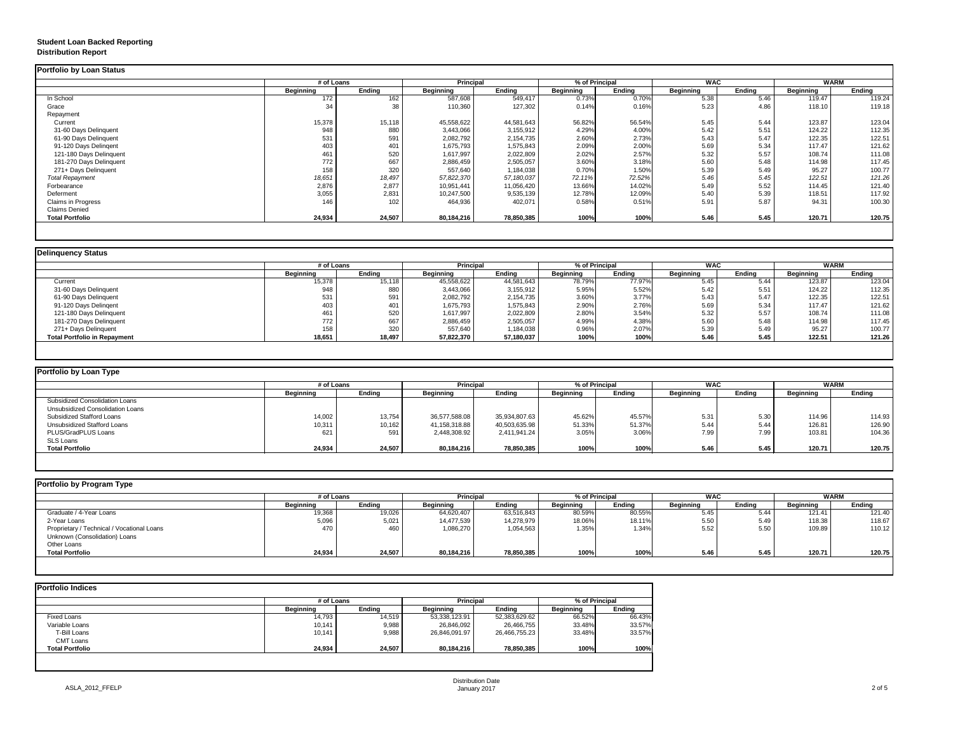# **Student Loan Backed Reporting Distribution Report**

## **Delinquency Status**

|                         | # of Loans       |               | <b>Principal</b> |               | % of Principal   |               | <b>WAC</b>       |               | <b>WARM</b>      |               |
|-------------------------|------------------|---------------|------------------|---------------|------------------|---------------|------------------|---------------|------------------|---------------|
|                         | <b>Beginning</b> | <b>Ending</b> | <b>Beginning</b> | <b>Ending</b> | <b>Beginning</b> | <b>Ending</b> | <b>Beginning</b> | <b>Ending</b> | <b>Beginning</b> | <b>Ending</b> |
| In School               | 172              | 162           | 587,608          | 549,417       | 0.73%            | 0.70%         | 5.38             | 5.46          | 119.47           | 119.24        |
| Grace                   | 34               | 38            | 110,360          | 127,302       | 0.14%            | 0.16%         | 5.23             | 4.86          | 118.10           | 119.18        |
| Repayment               |                  |               |                  |               |                  |               |                  |               |                  |               |
| Current                 | 15,378           | 15,118        | 45,558,622       | 44,581,643    | 56.82%           | 56.54%        | 5.45             | 5.44          | 123.87           | 123.04        |
| 31-60 Days Delinquent   | 948              | 880           | 3,443,066        | 3,155,912     | 4.29%            | 4.00%         | 5.42             | 5.51          | 124.22           | 112.35        |
| 61-90 Days Delinquent   | 531              | 591           | 2,082,792        | 2,154,735     | 2.60%            | 2.73%         | 5.43             | 5.47          | 122.35           | 122.51        |
| 91-120 Days Delingent   | 403              | 401           | 1,675,793        | 1,575,843     | 2.09%            | 2.00%         | 5.69             | 5.34          | 117.47           | 121.62        |
| 121-180 Days Delinquent | 461              | 520           | 1,617,997        | 2,022,809     | 2.02%            | 2.57%         | 5.32             | 5.57          | 108.74           | 111.08        |
| 181-270 Days Delinquent | 772              | 667           | 2,886,459        | 2,505,057     | 3.60%            | 3.18%         | 5.60             | 5.48          | 114.98           | 117.45        |
| 271+ Days Delinquent    | 158              | 320           | 557,640          | 1,184,038     | 0.70%            | 1.50%         | 5.39             | 5.49          | 95.27            | 100.77        |
| <b>Total Repayment</b>  | 18,651           | 18,497        | 57,822,370       | 57,180,037    | 72.11%           | 72.52%        | 5.46             | 5.45          | 122.51           | 121.26        |
| Forbearance             | 2,876            | 2,877         | 10,951,441       | 11,056,420    | 13.66%           | 14.02%        | 5.49             | 5.52          | 114.45           | 121.40        |
| Deferment               | 3,055            | 2,831         | 10,247,500       | 9,535,139     | 12.78%           | 12.09%        | 5.40             | 5.39          | 118.51           | 117.92        |
| Claims in Progress      | 146              | 102           | 464,936          | 402,071       | 0.58%            | 0.51%         | 5.91             | 5.87          | 94.31            | 100.30        |
| <b>Claims Denied</b>    |                  |               |                  |               |                  |               |                  |               |                  |               |
| <b>Total Portfolio</b>  | 24,934           | 24,507        | 80,184,216       | 78,850,385    | 100%             | 100%          | 5.46             | 5.45          | 120.71           | 120.75        |

|                                     | # of Loans       |               | <b>Principal</b> |               | % of Principal   |               | <b>WAC</b>       |        | <b>WARM</b>      |        |
|-------------------------------------|------------------|---------------|------------------|---------------|------------------|---------------|------------------|--------|------------------|--------|
|                                     | <b>Beginning</b> | <b>Ending</b> | <b>Beginning</b> | <b>Ending</b> | <b>Beginning</b> | <b>Ending</b> | <b>Beginning</b> | Ending | <b>Beginning</b> | Ending |
| Current                             | 15,378           | 15,118        | 45,558,622       | 44,581,643    | 78.79%           | 77.97%        | 5.45             | 5.44   | 123.87           | 123.04 |
| 31-60 Days Delinquent               | 948              | 880           | 3,443,066        | 3,155,912     | 5.95%            | 5.52%         | 5.42             | 5.51   | 124.22           | 112.35 |
| 61-90 Days Delinquent               | 531              | 591           | 2,082,792        | 2,154,735     | 3.60%            | 3.77%         | 5.43             | 5.47   | 122.35           | 122.51 |
| 91-120 Days Delingent               | 403              |               | 1,675,793        | 1,575,843     | 2.90%            | 2.76%         | 5.69             | 5.34   | 117.47           | 121.62 |
| 121-180 Days Delinquent             | 461              | 520           | 1,617,997        | 2,022,809     | 2.80%            | 3.54%         | 5.32             | 5.57   | 108.74           | 111.08 |
| 181-270 Days Delinquent             | 772              | 667           | 2,886,459        | 2,505,057     | 4.99%            | 4.38%         | 5.60             | 5.48   | 114.98           | 117.45 |
| 271+ Days Delinquent                | 158              | 320           | 557,640          | 1,184,038     | 0.96%            | 2.07%         | 5.39             | 5.49   | 95.27            | 100.77 |
| <b>Total Portfolio in Repayment</b> | 18,651           | 18,497        | 57,822,370       | 57,180,037    | 100%             | 100%          | 5.46             | 5.45   | 122.51           | 121.26 |

| <b>Portfolio by Loan Type</b>           |                  |               |                  |               |                |               |                  |        |                  |               |
|-----------------------------------------|------------------|---------------|------------------|---------------|----------------|---------------|------------------|--------|------------------|---------------|
|                                         | # of Loans       |               | <b>Principal</b> |               | % of Principal |               | <b>WAC</b>       |        | <b>WARM</b>      |               |
|                                         | <b>Beginning</b> | <b>Ending</b> | <b>Beginning</b> | <b>Ending</b> | Beginning      | <b>Ending</b> | <b>Beginning</b> | Ending | <b>Beginning</b> | <b>Ending</b> |
| <b>Subsidized Consolidation Loans</b>   |                  |               |                  |               |                |               |                  |        |                  |               |
| <b>Unsubsidized Consolidation Loans</b> |                  |               |                  |               |                |               |                  |        |                  |               |
| <b>Subsidized Stafford Loans</b>        | 14,002           | 13,754        | 36,577,588.08    | 35,934,807.63 | 45.62%         | 45.57%        | 5.31             | 5.30   | 114.96           | 114.93        |
| <b>Unsubsidized Stafford Loans</b>      | 10,311           | 10,162        | 41,158,318.88    | 40,503,635.98 | 51.33%         | 51.37%        | 5.44             | 5.44   | 126.81           | 126.90        |
| PLUS/GradPLUS Loans                     | 621              | 591           | 2,448,308.92     | 2,411,941.24  | 3.05%          | 3.06%         | 7.99             | 7.99   | 103.81           | 104.36        |
| <b>SLS Loans</b>                        |                  |               |                  |               |                |               |                  |        |                  |               |
| <b>Total Portfolio</b>                  | 24,934           | 24,507        | 80,184,216       | 78,850,385    | 100%           | 100%          | 5.46             | 5.45   | 120.71           | 120.75        |

|                                            |                  | # of Loans    |                  | <b>Principal</b> | % of Principal   |               | <b>WAC</b>       |               | <b>WARM</b>      |        |
|--------------------------------------------|------------------|---------------|------------------|------------------|------------------|---------------|------------------|---------------|------------------|--------|
|                                            | <b>Beginning</b> | <b>Ending</b> | <b>Beginning</b> | <b>Ending</b>    | <b>Beginning</b> | <b>Ending</b> | <b>Beginning</b> | <b>Ending</b> | <b>Beginning</b> | Ending |
| Graduate / 4-Year Loans                    | 19,368           | 19,026        | 64,620,407       | 63,516,843       | 80.59%           | 80.55%        | 5.45             | 5.44          | 121.41           | 121.40 |
| 2-Year Loans                               | 5,096            | 5,021         | 14,477,539       | 14,278,979       | 18.06%           | 18.11%        | 5.50             | 5.49          | 118.38           | 118.67 |
| Proprietary / Technical / Vocational Loans | 470              | 460           | 1,086,270        | 1,054,563        | 1.35%            | 1.34%         | 5.52             | 5.5C          | 109.89           | 110.12 |
| Unknown (Consolidation) Loans              |                  |               |                  |                  |                  |               |                  |               |                  |        |
| <b>Other Loans</b>                         |                  |               |                  |                  |                  |               |                  |               |                  |        |
| <b>Total Portfolio</b>                     | 24,934           | 24,507        | 80,184,216       | 78,850,385       | 100%             | 100%          | 5.46             | 5.45          | 120.71           | 120.75 |

|                        |                  | # of Loans    |                  |               | % of Principal   |               |  |
|------------------------|------------------|---------------|------------------|---------------|------------------|---------------|--|
|                        | <b>Beginning</b> | <b>Ending</b> | <b>Beginning</b> | <b>Ending</b> | <b>Beginning</b> | <b>Ending</b> |  |
| <b>Fixed Loans</b>     | 14,793           | 14,519        | 53,338,123.91    | 52,383,629.62 | 66.52%           | 66.43%        |  |
| Variable Loans         | 10,141           | 9,988         | 26,846,092       | 26,466,755    | 33.48%           | 33.57%        |  |
| T-Bill Loans           | 10,141           | 9,988         | 26,846,091.97    | 26,466,755.23 | 33.48%           | 33.57%        |  |
| <b>CMT Loans</b>       |                  |               |                  |               |                  |               |  |
| <b>Total Portfolio</b> | 24,934           | 24,507        | 80,184,216       | 78,850,385    | 100%             | 100%          |  |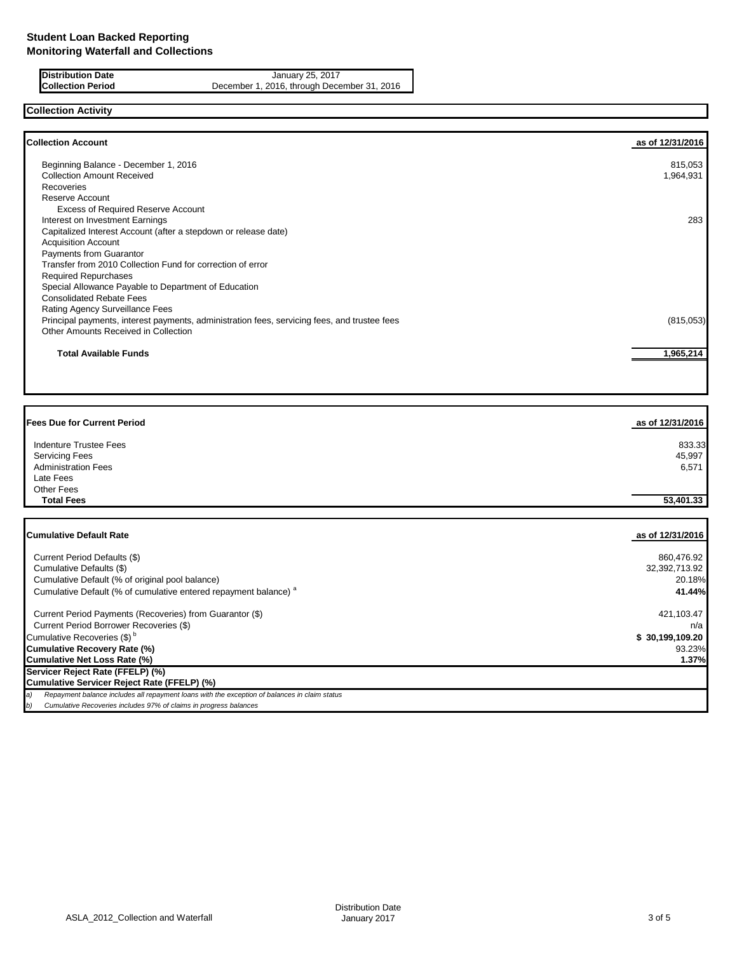**Distribution Date** January 25, 2017<br>**Collection Period** December 1, 2016, through Dece December 1, 2016, through December 31, 2016

# **Collection Activity**

| <b>Collection Account</b>                                                                    | as of 12/31/2016 |
|----------------------------------------------------------------------------------------------|------------------|
| Beginning Balance - December 1, 2016                                                         | 815,053          |
| <b>Collection Amount Received</b>                                                            | 1,964,931        |
| Recoveries                                                                                   |                  |
| Reserve Account                                                                              |                  |
| <b>Excess of Required Reserve Account</b>                                                    |                  |
| Interest on Investment Earnings                                                              | 283              |
| Capitalized Interest Account (after a stepdown or release date)                              |                  |
| <b>Acquisition Account</b>                                                                   |                  |
| Payments from Guarantor                                                                      |                  |
| Transfer from 2010 Collection Fund for correction of error                                   |                  |
| <b>Required Repurchases</b>                                                                  |                  |
| Special Allowance Payable to Department of Education                                         |                  |
| <b>Consolidated Rebate Fees</b>                                                              |                  |
| Rating Agency Surveillance Fees                                                              |                  |
| Principal payments, interest payments, administration fees, servicing fees, and trustee fees | (815,053)        |
| Other Amounts Received in Collection                                                         |                  |
| <b>Total Available Funds</b>                                                                 | 1,965,214        |
|                                                                                              |                  |

| <b>Fees Due for Current Period</b>              | as of 12/31/2016 |
|-------------------------------------------------|------------------|
| <b>Indenture Trustee Fees</b>                   | 833.33           |
| <b>Servicing Fees</b>                           | 45,997           |
| <b>Administration Fees</b>                      | 6,571            |
| Late Fees                                       |                  |
| <b>Other Fees</b>                               |                  |
| <b>Total Fees</b>                               | 53,401.33        |
| <b>Cumulative Default Rate</b>                  | as of 12/31/2016 |
| Current Period Defaults (\$)                    | 860,476.92       |
| Cumulative Defaults (\$)                        | 32,392,713.92    |
| Cumulative Default (% of original pool balance) | 20.18%           |

| Cumulative Default (% of cumulative entered repayment balance) <sup>a</sup>                          | 41.44%          |
|------------------------------------------------------------------------------------------------------|-----------------|
| Current Period Payments (Recoveries) from Guarantor (\$)                                             | 421,103.47      |
| Current Period Borrower Recoveries (\$)                                                              | n/a             |
| Cumulative Recoveries (\$) <sup>b</sup>                                                              | \$30,199,109.20 |
| <b>Cumulative Recovery Rate (%)</b>                                                                  | 93.23%          |
| <b>Cumulative Net Loss Rate (%)</b>                                                                  | $1.37\%$        |
| Servicer Reject Rate (FFELP) (%)                                                                     |                 |
| <b>Cumulative Servicer Reject Rate (FFELP) (%)</b>                                                   |                 |
| Repayment balance includes all repayment loans with the exception of balances in claim status<br>la) |                 |
| Cumulative Recoveries includes 97% of claims in progress balances<br>$ b\rangle$                     |                 |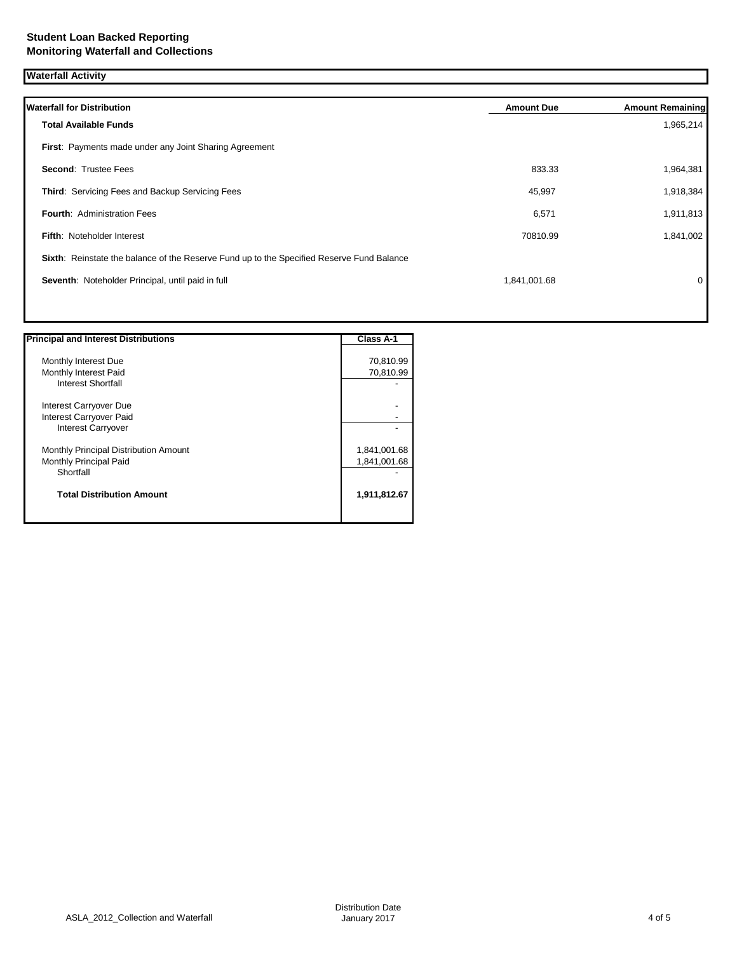**Waterfall Activity**

| <b>Waterfall for Distribution</b>                                                         | <b>Amount Due</b> | <b>Amount Remaining</b> |
|-------------------------------------------------------------------------------------------|-------------------|-------------------------|
| <b>Total Available Funds</b>                                                              |                   | 1,965,214               |
| First: Payments made under any Joint Sharing Agreement                                    |                   |                         |
| <b>Second: Trustee Fees</b>                                                               | 833.33            | 1,964,381               |
| Third: Servicing Fees and Backup Servicing Fees                                           | 45,997            | 1,918,384               |
| <b>Fourth: Administration Fees</b>                                                        | 6,571             | 1,911,813               |
| <b>Fifth: Noteholder Interest</b>                                                         | 70810.99          | 1,841,002               |
| Sixth: Reinstate the balance of the Reserve Fund up to the Specified Reserve Fund Balance |                   |                         |
| Seventh: Noteholder Principal, until paid in full                                         | 1,841,001.68      | 0                       |
|                                                                                           |                   |                         |

| <b>Principal and Interest Distributions</b> | Class A-1    |
|---------------------------------------------|--------------|
| Monthly Interest Due                        | 70,810.99    |
| Monthly Interest Paid                       | 70,810.99    |
| <b>Interest Shortfall</b>                   |              |
| Interest Carryover Due                      |              |
| Interest Carryover Paid                     |              |
| <b>Interest Carryover</b>                   |              |
| Monthly Principal Distribution Amount       | 1,841,001.68 |
| Monthly Principal Paid                      | 1,841,001.68 |
| Shortfall                                   |              |
| <b>Total Distribution Amount</b>            | 1,911,812.67 |
|                                             |              |